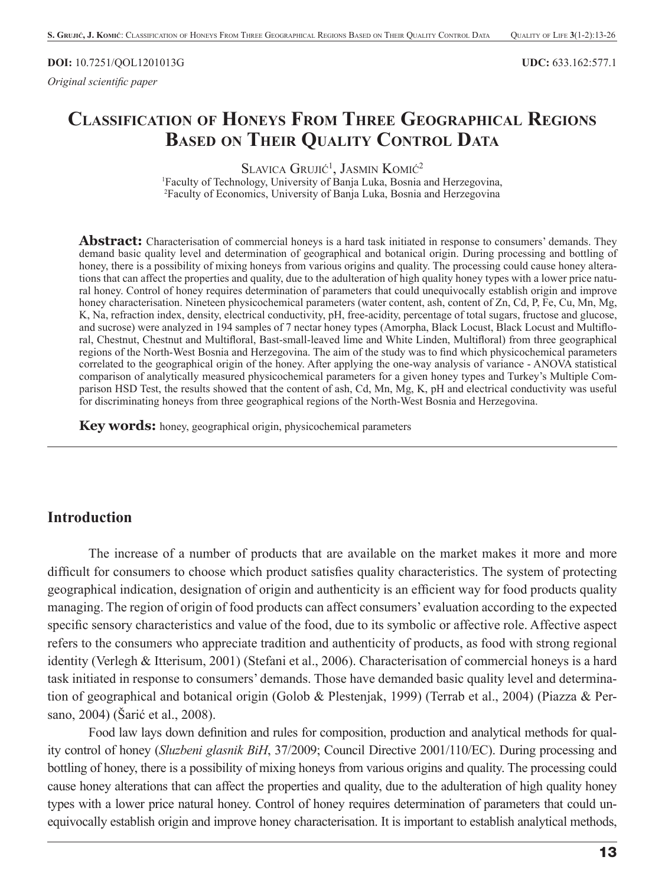#### **DOI:** 10.7251/QOL1201013G **UDC:** 633.162:577.1

*Original scientifi c paper*

# **CLASSIFICATION OF HONEYS FROM THREE GEOGRAPHICAL REGIONS BASED ON THEIR QUALITY CONTROL DATA**

SLAVICA GRUJIĆ<sup>1</sup>, JASMIN KOMIĆ<sup>2</sup>

1 Faculty of Technology, University of Banja Luka, Bosnia and Herzegovina, 2 Faculty of Economics, University of Banja Luka, Bosnia and Herzegovina

Abstract: Characterisation of commercial honeys is a hard task initiated in response to consumers' demands. They demand basic quality level and determination of geographical and botanical origin. During processing and bottling of honey, there is a possibility of mixing honeys from various origins and quality. The processing could cause honey alterations that can affect the properties and quality, due to the adulteration of high quality honey types with a lower price natural honey. Control of honey requires determination of parameters that could unequivocally establish origin and improve honey characterisation. Nineteen physicochemical parameters (water content, ash, content of Zn, Cd, P, Fe, Cu, Mn, Mg, K, Na, refraction index, density, electrical conductivity, pH, free-acidity, percentage of total sugars, fructose and glucose, and sucrose) were analyzed in 194 samples of 7 nectar honey types (Amorpha, Black Locust, Black Locust and Multifloral, Chestnut, Chestnut and Multifloral, Bast-small-leaved lime and White Linden, Multifloral) from three geographical regions of the North-West Bosnia and Herzegovina. The aim of the study was to find which physicochemical parameters correlated to the geographical origin of the honey. After applying the one-way analysis of variance - ANOVA statistical comparison of analytically measured physicochemical parameters for a given honey types and Turkey's Multiple Comparison HSD Test, the results showed that the content of ash, Cd, Mn, Mg, K, pH and electrical conductivity was useful for discriminating honeys from three geographical regions of the North-West Bosnia and Herzegovina.

**Key words:** honey, geographical origin, physicochemical parameters

#### **Introduction**

The increase of a number of products that are available on the market makes it more and more difficult for consumers to choose which product satisfies quality characteristics. The system of protecting geographical indication, designation of origin and authenticity is an efficient way for food products quality managing. The region of origin of food products can affect consumers' evaluation according to the expected specific sensory characteristics and value of the food, due to its symbolic or affective role. Affective aspect refers to the consumers who appreciate tradition and authenticity of products, as food with strong regional identity (Verlegh & Itterisum, 2001) (Stefani et al., 2006). Characterisation of commercial honeys is a hard task initiated in response to consumers' demands. Those have demanded basic quality level and determination of geographical and botanical origin (Golob & Plestenjak, 1999) (Terrab et al., 2004) (Piazza & Persano, 2004) (Šarić et al., 2008).

Food law lays down definition and rules for composition, production and analytical methods for quality control of honey (*Sluzbeni glasnik BiH*, 37/2009; Council Directive 2001/110/EC). During processing and bottling of honey, there is a possibility of mixing honeys from various origins and quality. The processing could cause honey alterations that can affect the properties and quality, due to the adulteration of high quality honey types with a lower price natural honey. Control of honey requires determination of parameters that could unequivocally establish origin and improve honey characterisation. It is important to establish analytical methods,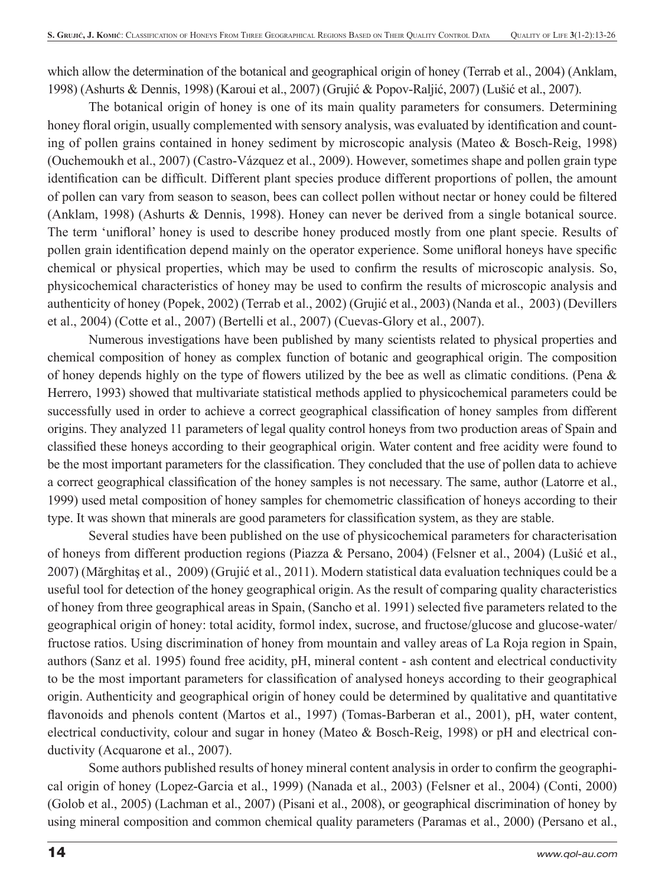which allow the determination of the botanical and geographical origin of honey (Terrab et al., 2004) (Anklam, 1998) (Ashurts & Dennis, 1998) (Karoui et al., 2007) (Grujić & Popov-Raljić, 2007) (Lušić et al., 2007).

The botanical origin of honey is one of its main quality parameters for consumers. Determining honey floral origin, usually complemented with sensory analysis, was evaluated by identification and counting of pollen grains contained in honey sediment by microscopic analysis (Mateo & Bosch-Reig, 1998) (Ouchemoukh et al., 2007) (Castro-Vázquez et al., 2009). However, sometimes shape and pollen grain type identification can be difficult. Different plant species produce different proportions of pollen, the amount of pollen can vary from season to season, bees can collect pollen without nectar or honey could be fi ltered (Anklam, 1998) (Ashurts & Dennis, 1998). Honey can never be derived from a single botanical source. The term 'unifloral' honey is used to describe honey produced mostly from one plant specie. Results of pollen grain identification depend mainly on the operator experience. Some unifloral honeys have specific chemical or physical properties, which may be used to confirm the results of microscopic analysis. So, physicochemical characteristics of honey may be used to confirm the results of microscopic analysis and authenticity of honey (Popek, 2002) (Terrab et al., 2002) (Grujić et al., 2003) (Nanda et al., 2003) (Devillers et al., 2004) (Cotte et al., 2007) (Bertelli et al., 2007) (Cuevas-Glory et al., 2007).

Numerous investigations have been published by many scientists related to physical properties and chemical composition of honey as complex function of botanic and geographical origin. The composition of honey depends highly on the type of flowers utilized by the bee as well as climatic conditions. (Pena  $\&$ Herrero, 1993) showed that multivariate statistical methods applied to physicochemical parameters could be successfully used in order to achieve a correct geographical classification of honey samples from different origins. They analyzed 11 parameters of legal quality control honeys from two production areas of Spain and classified these honeys according to their geographical origin. Water content and free acidity were found to be the most important parameters for the classification. They concluded that the use of pollen data to achieve a correct geographical classification of the honey samples is not necessary. The same, author (Latorre et al., 1999) used metal composition of honey samples for chemometric classification of honeys according to their type. It was shown that minerals are good parameters for classification system, as they are stable.

Several studies have been published on the use of physicochemical parameters for characterisation of honeys from different production regions (Piazza & Persano, 2004) (Felsner et al., 2004) (Lušić et al., 2007) (Mărghitaş et al., 2009) (Grujić et al., 2011). Modern statistical data evaluation techniques could be a useful tool for detection of the honey geographical origin. As the result of comparing quality characteristics of honey from three geographical areas in Spain, (Sancho et al. 1991) selected fi ve parameters related to the geographical origin of honey: total acidity, formol index, sucrose, and fructose/glucose and glucose-water/ fructose ratios. Using discrimination of honey from mountain and valley areas of La Roja region in Spain, authors (Sanz et al. 1995) found free acidity, pH, mineral content - ash content and electrical conductivity to be the most important parameters for classification of analysed honeys according to their geographical origin. Authenticity and geographical origin of honey could be determined by qualitative and quantitative flavonoids and phenols content (Martos et al., 1997) (Tomas-Barberan et al., 2001), pH, water content, electrical conductivity, colour and sugar in honey (Mateo & Bosch-Reig, 1998) or pH and electrical conductivity (Acquarone et al., 2007).

Some authors published results of honey mineral content analysis in order to confirm the geographical origin of honey (Lopez-Garcia et al., 1999) (Nanada et al., 2003) (Felsner et al., 2004) (Conti, 2000) (Golob et al., 2005) (Lachman et al., 2007) (Pisani et al., 2008), or geographical discrimination of honey by using mineral composition and common chemical quality parameters (Paramas et al., 2000) (Persano et al.,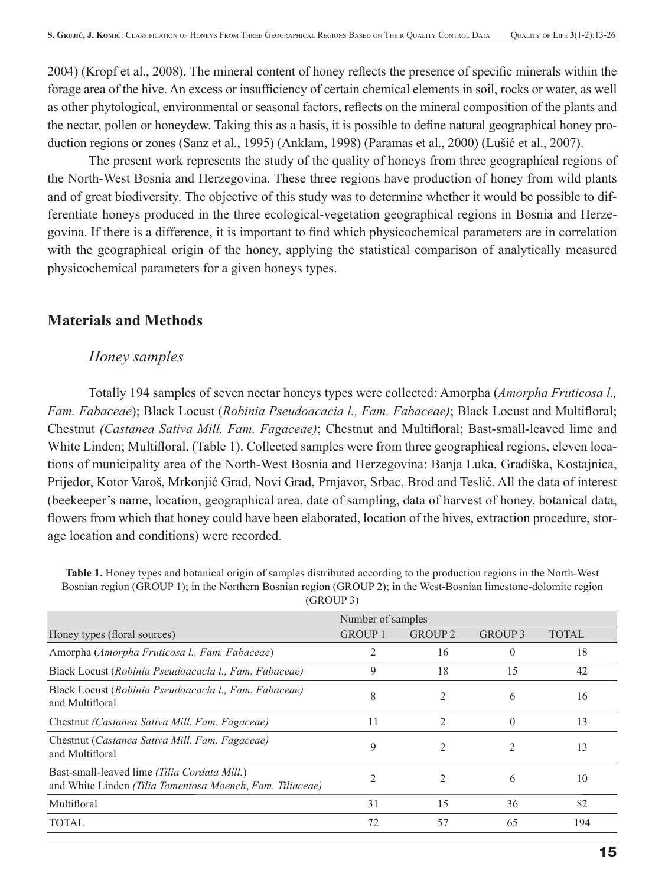2004) (Kropf et al., 2008). The mineral content of honey reflects the presence of specific minerals within the forage area of the hive. An excess or insufficiency of certain chemical elements in soil, rocks or water, as well as other phytological, environmental or seasonal factors, reflects on the mineral composition of the plants and the nectar, pollen or honeydew. Taking this as a basis, it is possible to define natural geographical honey production regions or zones (Sanz et al., 1995) (Anklam, 1998) (Paramas et al., 2000) (Lušić et al., 2007).

The present work represents the study of the quality of honeys from three geographical regions of the North-West Bosnia and Herzegovina. These three regions have production of honey from wild plants and of great biodiversity. The objective of this study was to determine whether it would be possible to differentiate honeys produced in the three ecological-vegetation geographical regions in Bosnia and Herzegovina. If there is a difference, it is important to find which physicochemical parameters are in correlation with the geographical origin of the honey, applying the statistical comparison of analytically measured physicochemical parameters for a given honeys types.

## **Materials and Methods**

#### *Honey samples*

Totally 194 samples of seven nectar honeys types were collected: Amorpha (*Amorpha Fruticosa l., Fam. Fabaceae*); Black Locust (*Robinia Pseudoacacia l., Fam. Fabaceae*); Black Locust and Multifloral; Chestnut *(Castanea Sativa Mill. Fam. Fagaceae)*; Chestnut and Multifloral; Bast-small-leaved lime and White Linden; Multifloral. (Table 1). Collected samples were from three geographical regions, eleven locations of municipality area of the North-West Bosnia and Herzegovina: Banja Luka, Gradiška, Kostajnica, Prijedor, Kotor Varoš, Mrkonjić Grad, Novi Grad, Prnjavor, Srbac, Brod and Teslić. All the data of interest (beekeeper's name, location, geographical area, date of sampling, data of harvest of honey, botanical data, flowers from which that honey could have been elaborated, location of the hives, extraction procedure, storage location and conditions) were recorded.

**Table 1.** Honey types and botanical origin of samples distributed according to the production regions in the North-West Bosnian region (GROUP 1); in the Northern Bosnian region (GROUP 2); in the West-Bosnian limestone-dolomite region

|                                                                                                           | Number of samples |                    |                    |              |  |
|-----------------------------------------------------------------------------------------------------------|-------------------|--------------------|--------------------|--------------|--|
| Honey types (floral sources)                                                                              | <b>GROUP 1</b>    | GROUP <sub>2</sub> | GROUP <sub>3</sub> | <b>TOTAL</b> |  |
| Amorpha (Amorpha Fruticosa l., Fam. Fabaceae)                                                             |                   | 16                 |                    | 18           |  |
| Black Locust (Robinia Pseudoacacia l., Fam. Fabaceae)                                                     | 9                 | 18                 | 15                 | 42           |  |
| Black Locust (Robinia Pseudoacacia l., Fam. Fabaceae)<br>and Multifloral                                  | 8                 | 2                  | 6                  | 16           |  |
| Chestnut <i>(Castanea Sativa Mill. Fam. Fagaceae)</i>                                                     | 11                |                    |                    | 13           |  |
| Chestnut (Castanea Sativa Mill. Fam. Fagaceae)<br>and Multifloral                                         | 9                 | $\mathfrak{D}$     |                    | 13           |  |
| Bast-small-leaved lime (Tilia Cordata Mill.)<br>and White Linden (Tilia Tomentosa Moench, Fam. Tiliaceae) |                   |                    | 6                  | 10           |  |
| Multifloral                                                                                               | 31                | 15                 | 36                 | 82           |  |
| <b>TOTAL</b>                                                                                              | 72                | 57                 | 65                 | 194          |  |

(GROUP 3)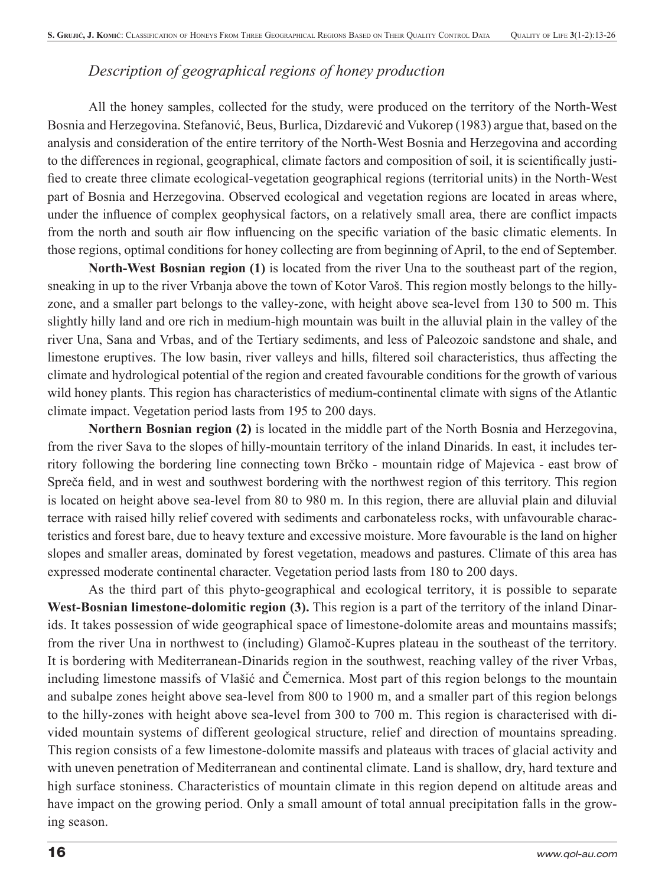# *Description of geographical regions of honey production*

All the honey samples, collected for the study, were produced on the territory of the North-West Bosnia and Herzegovina. Stefanović, Beus, Burlica, Dizdarević and Vukorep (1983) argue that, based on the analysis and consideration of the entire territory of the North-West Bosnia and Herzegovina and according to the differences in regional, geographical, climate factors and composition of soil, it is scientifically justified to create three climate ecological-vegetation geographical regions (territorial units) in the North-West part of Bosnia and Herzegovina. Observed ecological and vegetation regions are located in areas where, under the influence of complex geophysical factors, on a relatively small area, there are conflict impacts from the north and south air flow influencing on the specific variation of the basic climatic elements. In those regions, optimal conditions for honey collecting are from beginning of April, to the end of September.

**North-West Bosnian region (1)** is located from the river Una to the southeast part of the region, sneaking in up to the river Vrbanja above the town of Kotor Varoš. This region mostly belongs to the hillyzone, and a smaller part belongs to the valley-zone, with height above sea-level from 130 to 500 m. This slightly hilly land and ore rich in medium-high mountain was built in the alluvial plain in the valley of the river Una, Sana and Vrbas, and of the Tertiary sediments, and less of Paleozoic sandstone and shale, and limestone eruptives. The low basin, river valleys and hills, filtered soil characteristics, thus affecting the climate and hydrological potential of the region and created favourable conditions for the growth of various wild honey plants. This region has characteristics of medium-continental climate with signs of the Atlantic climate impact. Vegetation period lasts from 195 to 200 days.

**Northern Bosnian region (2)** is located in the middle part of the North Bosnia and Herzegovina, from the river Sava to the slopes of hilly-mountain territory of the inland Dinarids. In east, it includes territory following the bordering line connecting town Brčko - mountain ridge of Majevica - east brow of Spreča field, and in west and southwest bordering with the northwest region of this territory. This region is located on height above sea-level from 80 to 980 m. In this region, there are alluvial plain and diluvial terrace with raised hilly relief covered with sediments and carbonateless rocks, with unfavourable characteristics and forest bare, due to heavy texture and excessive moisture. More favourable is the land on higher slopes and smaller areas, dominated by forest vegetation, meadows and pastures. Climate of this area has expressed moderate continental character. Vegetation period lasts from 180 to 200 days.

As the third part of this phyto-geographical and ecological territory, it is possible to separate **West-Bosnian limestone-dolomitic region (3).** This region is a part of the territory of the inland Dinarids. It takes possession of wide geographical space of limestone-dolomite areas and mountains massifs; from the river Una in northwest to (including) Glamoč-Kupres plateau in the southeast of the territory. It is bordering with Mediterranean-Dinarids region in the southwest, reaching valley of the river Vrbas, including limestone massifs of Vlašić and Čemernica. Most part of this region belongs to the mountain and subalpe zones height above sea-level from 800 to 1900 m, and a smaller part of this region belongs to the hilly-zones with height above sea-level from 300 to 700 m. This region is characterised with divided mountain systems of different geological structure, relief and direction of mountains spreading. This region consists of a few limestone-dolomite massifs and plateaus with traces of glacial activity and with uneven penetration of Mediterranean and continental climate. Land is shallow, dry, hard texture and high surface stoniness. Characteristics of mountain climate in this region depend on altitude areas and have impact on the growing period. Only a small amount of total annual precipitation falls in the growing season.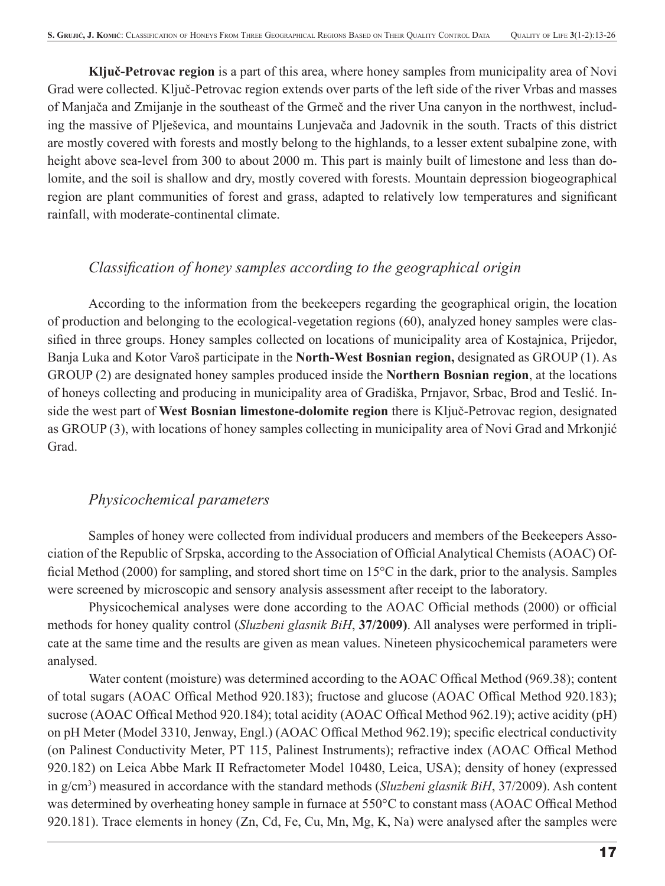**Ključ-Petrovac region** is a part of this area, where honey samples from municipality area of Novi Grad were collected. Ključ-Petrovac region extends over parts of the left side of the river Vrbas and masses of Manjača and Zmijanje in the southeast of the Grmeč and the river Una canyon in the northwest, including the massive of Plješevica, and mountains Lunjevača and Jadovnik in the south. Tracts of this district are mostly covered with forests and mostly belong to the highlands, to a lesser extent subalpine zone, with height above sea-level from 300 to about 2000 m. This part is mainly built of limestone and less than dolomite, and the soil is shallow and dry, mostly covered with forests. Mountain depression biogeographical region are plant communities of forest and grass, adapted to relatively low temperatures and significant rainfall, with moderate-continental climate.

# *Classifi cation of honey samples according to the geographical origin*

According to the information from the beekeepers regarding the geographical origin, the location of production and belonging to the ecological-vegetation regions (60), analyzed honey samples were classified in three groups. Honey samples collected on locations of municipality area of Kostajnica, Prijedor, Banja Luka and Kotor Varoš participate in the **North-West Bosnian region,** designated as GROUP (1). As GROUP (2) are designated honey samples produced inside the **Northern Bosnian region**, at the locations of honeys collecting and producing in municipality area of Gradiška, Prnjavor, Srbac, Brod and Teslić. Inside the west part of **West Bosnian limestone-dolomite region** there is Ključ-Petrovac region, designated as GROUP (3), with locations of honey samples collecting in municipality area of Novi Grad and Mrkonjić Grad.

## *Physicochemical parameters*

Samples of honey were collected from individual producers and members of the Beekeepers Association of the Republic of Srpska, according to the Association of Official Analytical Chemists (AOAC) Official Method (2000) for sampling, and stored short time on  $15^{\circ}$ C in the dark, prior to the analysis. Samples were screened by microscopic and sensory analysis assessment after receipt to the laboratory.

Physicochemical analyses were done according to the AOAC Official methods (2000) or official methods for honey quality control (*Sluzbeni glasnik BiH*, **37/2009)**. All analyses were performed in triplicate at the same time and the results are given as mean values. Nineteen physicochemical parameters were analysed.

Water content (moisture) was determined according to the AOAC Offical Method (969.38); content of total sugars (AOAC Offical Method 920.183); fructose and glucose (AOAC Offical Method 920.183); sucrose (AOAC Offical Method 920.184); total acidity (AOAC Offical Method 962.19); active acidity (pH) on pH Meter (Model 3310, Jenway, Engl.) (AOAC Offical Method 962.19); specific electrical conductivity (on Palinest Conductivity Meter, PT 115, Palinest Instruments); refractive index (AOAC Offical Method 920.182) on Leica Abbe Mark II Refractometer Model 10480, Leica, USA); density of honey (expressed in g/cm3 ) measured in accordance with the standard methods (*Sluzbeni glasnik BiH*, 37/2009). Ash content was determined by overheating honey sample in furnace at 550°C to constant mass (AOAC Offical Method 920.181). Trace elements in honey (Zn, Cd, Fe, Cu, Mn, Mg, K, Na) were analysed after the samples were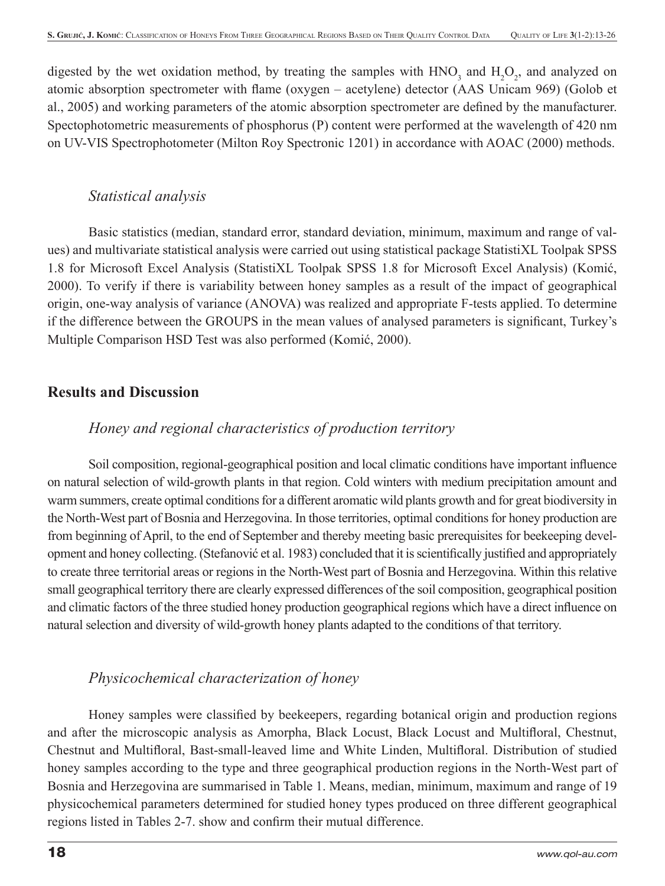digested by the wet oxidation method, by treating the samples with  $HNO_3$  and  $H_2O_2$ , and analyzed on atomic absorption spectrometer with flame (oxygen – acetylene) detector (AAS Unicam 969) (Golob et al., 2005) and working parameters of the atomic absorption spectrometer are defined by the manufacturer. Spectophotometric measurements of phosphorus (P) content were performed at the wavelength of 420 nm on UV-VIS Spectrophotometer (Milton Roy Spectronic 1201) in accordance with AOAC (2000) methods.

## *Statistical analysis*

Basic statistics (median, standard error, standard deviation, minimum, maximum and range of values) and multivariate statistical analysis were carried out using statistical package StatistiXL Toolpak SPSS 1.8 for Microsoft Excel Analysis (StatistiXL Toolpak SPSS 1.8 for Microsoft Excel Analysis) (Komić, 2000). To verify if there is variability between honey samples as a result of the impact of geographical origin, one-way analysis of variance (ANOVA) was realized and appropriate F-tests applied. To determine if the difference between the GROUPS in the mean values of analysed parameters is significant, Turkey's Multiple Comparison HSD Test was also performed (Komić, 2000).

# **Results and Discussion**

## *Honey and regional characteristics of production territory*

Soil composition, regional-geographical position and local climatic conditions have important influence on natural selection of wild-growth plants in that region. Cold winters with medium precipitation amount and warm summers, create optimal conditions for a different aromatic wild plants growth and for great biodiversity in the North-West part of Bosnia and Herzegovina. In those territories, optimal conditions for honey production are from beginning of April, to the end of September and thereby meeting basic prerequisites for beekeeping development and honey collecting. (Stefanović et al. 1983) concluded that it is scientifically justified and appropriately to create three territorial areas or regions in the North-West part of Bosnia and Herzegovina. Within this relative small geographical territory there are clearly expressed differences of the soil composition, geographical position and climatic factors of the three studied honey production geographical regions which have a direct influence on natural selection and diversity of wild-growth honey plants adapted to the conditions of that territory.

# *Physicochemical characterization of honey*

Honey samples were classified by beekeepers, regarding botanical origin and production regions and after the microscopic analysis as Amorpha, Black Locust, Black Locust and Multifloral, Chestnut, Chestnut and Multifloral, Bast-small-leaved lime and White Linden, Multifloral. Distribution of studied honey samples according to the type and three geographical production regions in the North-West part of Bosnia and Herzegovina are summarised in Table 1. Means, median, minimum, maximum and range of 19 physicochemical parameters determined for studied honey types produced on three different geographical regions listed in Tables 2-7. show and confirm their mutual difference.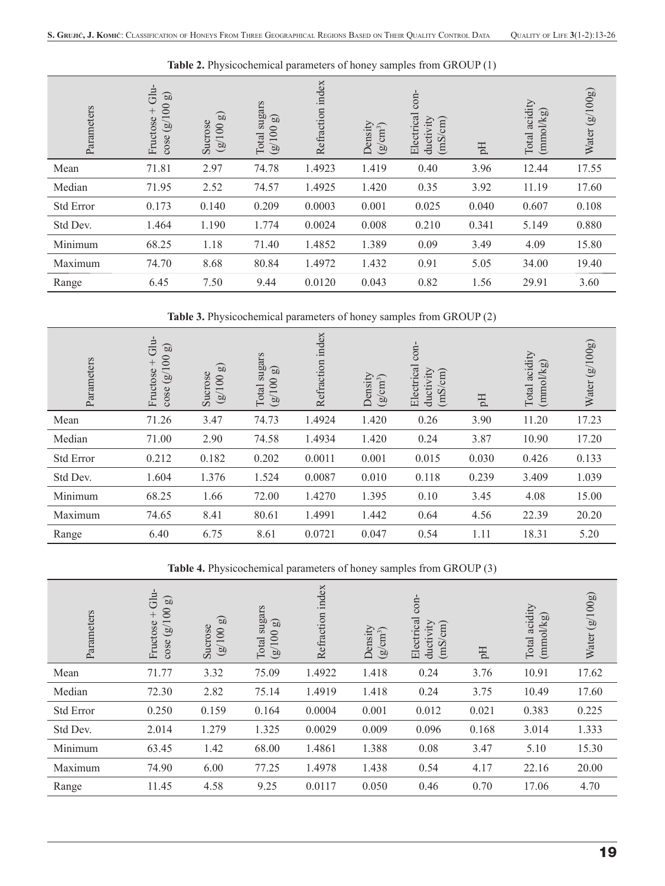| Parameters       | dhi<br>$\mathfrak{g}$<br>(8/100)<br>$^{+}$<br>Fructose<br>cose | $\mathfrak{g}$<br>Sucrose<br>100<br>$\circledcirc$ | sugars<br>$\mathbb{G}$<br>100<br>Total<br>$\circledB$ | Refraction index | Density<br>$(g/cm^3)$ | $con-$<br>Electrical<br>ductivity<br>(mS/cm) | $\rm H$ | acidity<br>(mmo/kg)<br>Total | (8/100)<br>Water |
|------------------|----------------------------------------------------------------|----------------------------------------------------|-------------------------------------------------------|------------------|-----------------------|----------------------------------------------|---------|------------------------------|------------------|
| Mean             | 71.81                                                          | 2.97                                               | 74.78                                                 | 1.4923           | 1.419                 | 0.40                                         | 3.96    | 12.44                        | 17.55            |
| Median           | 71.95                                                          | 2.52                                               | 74.57                                                 | 1.4925           | 1.420                 | 0.35                                         | 3.92    | 11.19                        | 17.60            |
| <b>Std Error</b> | 0.173                                                          | 0.140                                              | 0.209                                                 | 0.0003           | 0.001                 | 0.025                                        | 0.040   | 0.607                        | 0.108            |
| Std Dev.         | 1.464                                                          | 1.190                                              | 1.774                                                 | 0.0024           | 0.008                 | 0.210                                        | 0.341   | 5.149                        | 0.880            |
| Minimum          | 68.25                                                          | 1.18                                               | 71.40                                                 | 1.4852           | 1.389                 | 0.09                                         | 3.49    | 4.09                         | 15.80            |
| Maximum          | 74.70                                                          | 8.68                                               | 80.84                                                 | 1.4972           | 1.432                 | 0.91                                         | 5.05    | 34.00                        | 19.40            |
| Range            | 6.45                                                           | 7.50                                               | 9.44                                                  | 0.0120           | 0.043                 | 0.82                                         | 1.56    | 29.91                        | 3.60             |

**Table 2.** Physicochemical parameters of honey samples from GROUP (1)

**Table 3.** Physicochemical parameters of honey samples from GROUP (2)

| Parameters       | du-<br>$\mathfrak{g}$<br>(8/100)<br>$^{+}$<br>Fructose<br>$\csc$ | $\mathfrak{g}$<br>Sucrose<br>001<br>$\circledcirc$ | sugars<br>$\mathfrak{g}$<br>$\infty$<br>Total<br>$\overline{1}$ ) | Refraction index | Density<br>$(g/cm^3)$ | $con-$<br>Electrical<br>ductivity<br>(mS/cm) | Eq    | Total acidity<br>(mmol/kg) | (g/100g)<br>Water |
|------------------|------------------------------------------------------------------|----------------------------------------------------|-------------------------------------------------------------------|------------------|-----------------------|----------------------------------------------|-------|----------------------------|-------------------|
| Mean             | 71.26                                                            | 3.47                                               | 74.73                                                             | 1.4924           | 1.420                 | 0.26                                         | 3.90  | 11.20                      | 17.23             |
| Median           | 71.00                                                            | 2.90                                               | 74.58                                                             | 1.4934           | 1.420                 | 0.24                                         | 3.87  | 10.90                      | 17.20             |
| <b>Std Error</b> | 0.212                                                            | 0.182                                              | 0.202                                                             | 0.0011           | 0.001                 | 0.015                                        | 0.030 | 0.426                      | 0.133             |
| Std Dev.         | 1.604                                                            | 1.376                                              | 1.524                                                             | 0.0087           | 0.010                 | 0.118                                        | 0.239 | 3.409                      | 1.039             |
| Minimum          | 68.25                                                            | 1.66                                               | 72.00                                                             | 1.4270           | 1.395                 | 0.10                                         | 3.45  | 4.08                       | 15.00             |
| Maximum          | 74.65                                                            | 8.41                                               | 80.61                                                             | 1.4991           | 1.442                 | 0.64                                         | 4.56  | 22.39                      | 20.20             |
| Range            | 6.40                                                             | 6.75                                               | 8.61                                                              | 0.0721           | 0.047                 | 0.54                                         | 1.11  | 18.31                      | 5.20              |

**Table 4.** Physicochemical parameters of honey samples from GROUP (3)

| Parameters | Glu-<br>$\mathfrak{g}$<br>001<br>$^{+}$<br>Fructose<br>$\widehat{\mathbb{B}}$<br>cose | $\mathbf{g}$<br>Sucrose<br>(8/100) | sugars<br>$\mathfrak{g}$<br>(8/100)<br>Total | Refraction index | Density<br>$(g/cm^3)$ | $con-$<br>Electrical<br>ductivity<br>(mS/cm) | Hq    | acidity<br>(mmol/kg)<br>Total | (8/100)<br>Water |
|------------|---------------------------------------------------------------------------------------|------------------------------------|----------------------------------------------|------------------|-----------------------|----------------------------------------------|-------|-------------------------------|------------------|
| Mean       | 71.77                                                                                 | 3.32                               | 75.09                                        | 1.4922           | 1.418                 | 0.24                                         | 3.76  | 10.91                         | 17.62            |
| Median     | 72.30                                                                                 | 2.82                               | 75.14                                        | 1.4919           | 1.418                 | 0.24                                         | 3.75  | 10.49                         | 17.60            |
| Std Error  | 0.250                                                                                 | 0.159                              | 0.164                                        | 0.0004           | 0.001                 | 0.012                                        | 0.021 | 0.383                         | 0.225            |
| Std Dev.   | 2.014                                                                                 | 1.279                              | 1.325                                        | 0.0029           | 0.009                 | 0.096                                        | 0.168 | 3.014                         | 1.333            |
| Minimum    | 63.45                                                                                 | 1.42                               | 68.00                                        | 1.4861           | 1.388                 | 0.08                                         | 3.47  | 5.10                          | 15.30            |
| Maximum    | 74.90                                                                                 | 6.00                               | 77.25                                        | 1.4978           | 1.438                 | 0.54                                         | 4.17  | 22.16                         | 20.00            |
| Range      | 11.45                                                                                 | 4.58                               | 9.25                                         | 0.0117           | 0.050                 | 0.46                                         | 0.70  | 17.06                         | 4.70             |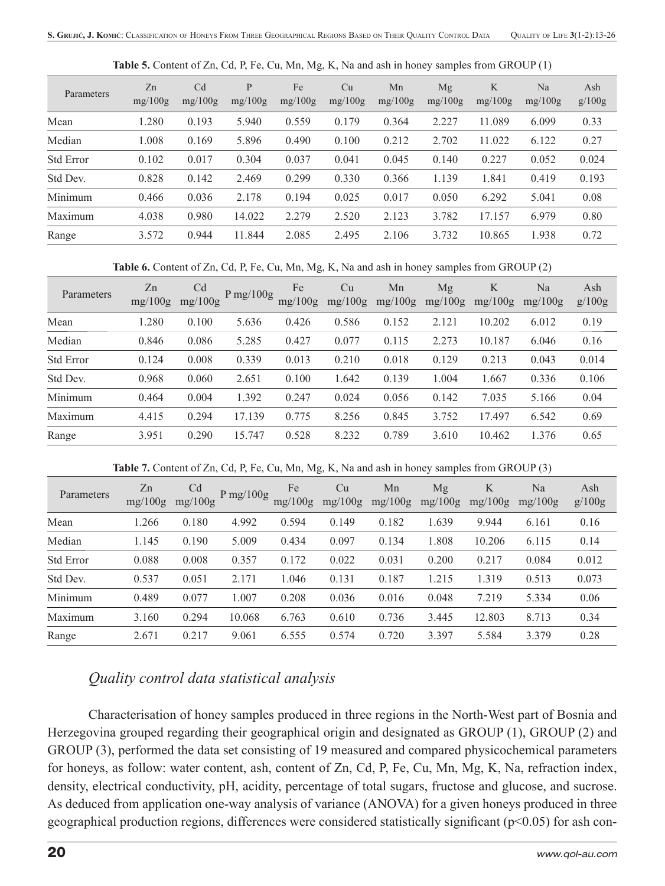| Parameters | Zn<br>mg/100g | C <sub>d</sub><br>mg/100g | P<br>mg/100g | Fe<br>mg/100g | Cu<br>mg/100g | Mn<br>mg/100g | Mg<br>mg/100g | K<br>mg/100g | Na<br>mg/100g | Ash<br>g/100g |
|------------|---------------|---------------------------|--------------|---------------|---------------|---------------|---------------|--------------|---------------|---------------|
| Mean       | 1.280         | 0.193                     | 5.940        | 0.559         | 0.179         | 0.364         | 2.227         | 11.089       | 6.099         | 0.33          |
| Median     | 1.008         | 0.169                     | 5.896        | 0.490         | 0.100         | 0.212         | 2.702         | 11.022       | 6.122         | 0.27          |
| Std Error  | 0.102         | 0.017                     | 0.304        | 0.037         | 0.041         | 0.045         | 0.140         | 0.227        | 0.052         | 0.024         |
| Std Dev.   | 0.828         | 0.142                     | 2.469        | 0.299         | 0.330         | 0.366         | 1.139         | 1.841        | 0.419         | 0.193         |
| Minimum    | 0.466         | 0.036                     | 2.178        | 0.194         | 0.025         | 0.017         | 0.050         | 6.292        | 5.041         | 0.08          |
| Maximum    | 4.038         | 0.980                     | 14.022       | 2.279         | 2.520         | 2.123         | 3.782         | 17.157       | 6.979         | 0.80          |
| Range      | 3.572         | 0.944                     | 11.844       | 2.085         | 2.495         | 2.106         | 3.732         | 10.865       | 1.938         | 0.72          |

**Table 5.** Content of Zn, Cd, P, Fe, Cu, Mn, Mg, K, Na and ash in honey samples from GROUP (1)

**Table 6.** Content of Zn, Cd, P, Fe, Cu, Mn, Mg, K, Na and ash in honey samples from GROUP (2)

| Parameters       | Zn<br>mg/100g | C <sub>d</sub><br>mg/100g | $P$ mg/100g | Fe<br>mg/100g | Cu<br>mg/100g | Mn<br>mg/100g | Mg<br>mg/100g | K<br>mg/100g | Na<br>mg/100g | Ash<br>g/100g |
|------------------|---------------|---------------------------|-------------|---------------|---------------|---------------|---------------|--------------|---------------|---------------|
| Mean             | .280          | 0.100                     | 5.636       | 0.426         | 0.586         | 0.152         | 2.121         | 10.202       | 6.012         | 0.19          |
| Median           | 0.846         | 0.086                     | 5.285       | 0.427         | 0.077         | 0.115         | 2.273         | 10.187       | 6.046         | 0.16          |
| <b>Std Error</b> | 0.124         | 0.008                     | 0.339       | 0.013         | 0.210         | 0.018         | 0.129         | 0.213        | 0.043         | 0.014         |
| Std Dev.         | 0.968         | 0.060                     | 2.651       | 0.100         | 1.642         | 0.139         | 1.004         | 1.667        | 0.336         | 0.106         |
| Minimum          | 0.464         | 0.004                     | 1.392       | 0.247         | 0.024         | 0.056         | 0.142         | 7.035        | 5.166         | 0.04          |
| Maximum          | 4.415         | 0.294                     | 17.139      | 0.775         | 8.256         | 0.845         | 3.752         | 17.497       | 6.542         | 0.69          |
| Range            | 3.951         | 0.290                     | 15.747      | 0.528         | 8.232         | 0.789         | 3.610         | 10.462       | 1.376         | 0.65          |

**Table 7.** Content of Zn, Cd, P, Fe, Cu, Mn, Mg, K, Na and ash in honey samples from GROUP (3)

| Parameters | Zn<br>mg/100g | C <sub>d</sub><br>mg/100g | P mg/100g | Fe<br>mg/100g | Cu<br>mg/100g | Mn<br>mg/100g | Mg<br>mg/100g | K<br>mg/100g | Na<br>mg/100g | Ash<br>g/100g |
|------------|---------------|---------------------------|-----------|---------------|---------------|---------------|---------------|--------------|---------------|---------------|
| Mean       | 1.266         | 0.180                     | 4.992     | 0.594         | 0.149         | 0.182         | 1.639         | 9.944        | 6.161         | 0.16          |
| Median     | 1.145         | 0.190                     | 5.009     | 0.434         | 0.097         | 0.134         | 1.808         | 10.206       | 6.115         | 0.14          |
| Std Error  | 0.088         | 0.008                     | 0.357     | 0.172         | 0.022         | 0.031         | 0.200         | 0.217        | 0.084         | 0.012         |
| Std Dev.   | 0.537         | 0.051                     | 2.171     | 1.046         | 0.131         | 0.187         | 1.215         | 1.319        | 0.513         | 0.073         |
| Minimum    | 0.489         | 0.077                     | 1.007     | 0.208         | 0.036         | 0.016         | 0.048         | 7.219        | 5.334         | 0.06          |
| Maximum    | 3.160         | 0.294                     | 10.068    | 6.763         | 0.610         | 0.736         | 3.445         | 12.803       | 8.713         | 0.34          |
| Range      | 2.671         | 0.217                     | 9.061     | 6.555         | 0.574         | 0.720         | 3.397         | 5.584        | 3.379         | 0.28          |

## *Quality control data statistical analysis*

Characterisation of honey samples produced in three regions in the North-West part of Bosnia and Herzegovina grouped regarding their geographical origin and designated as GROUP (1), GROUP (2) and GROUP (3), performed the data set consisting of 19 measured and compared physicochemical parameters for honeys, as follow: water content, ash, content of Zn, Cd, P, Fe, Cu, Mn, Mg, K, Na, refraction index, density, electrical conductivity, pH, acidity, percentage of total sugars, fructose and glucose, and sucrose. As deduced from application one-way analysis of variance (ANOVA) for a given honeys produced in three geographical production regions, differences were considered statistically significant ( $p<0.05$ ) for ash con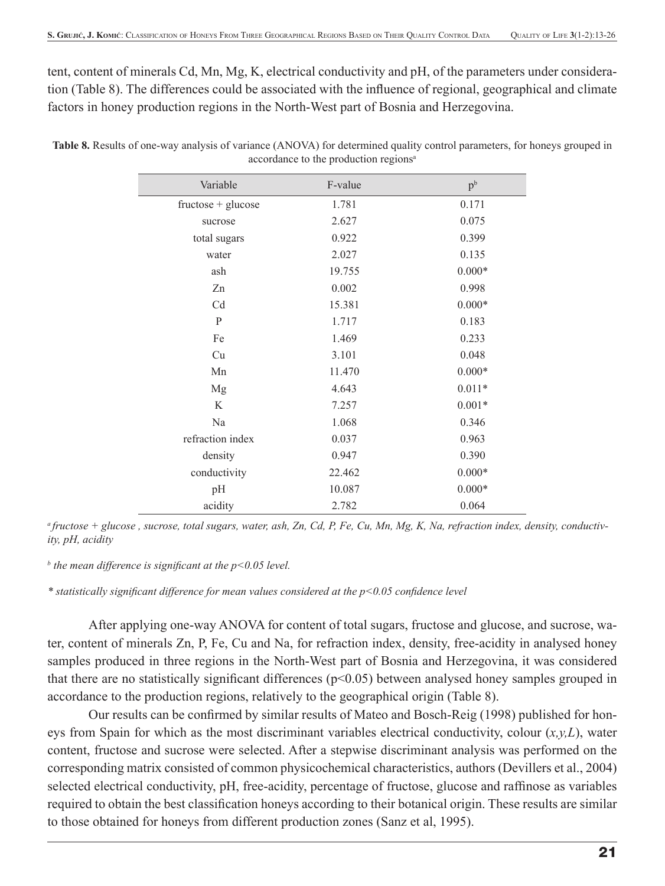tent, content of minerals Cd, Mn, Mg, K, electrical conductivity and pH, of the parameters under consideration (Table 8). The differences could be associated with the influence of regional, geographical and climate factors in honey production regions in the North-West part of Bosnia and Herzegovina.

| Variable             | F-value | p <sup>b</sup> |
|----------------------|---------|----------------|
| $fructose + glucose$ | 1.781   | 0.171          |
| sucrose              | 2.627   | 0.075          |
| total sugars         | 0.922   | 0.399          |
| water                | 2.027   | 0.135          |
| ash                  | 19.755  | $0.000*$       |
| Zn                   | 0.002   | 0.998          |
| Cd                   | 15.381  | $0.000*$       |
| $\mathbf{P}$         | 1.717   | 0.183          |
| Fe                   | 1.469   | 0.233          |
| Cu                   | 3.101   | 0.048          |
| Mn                   | 11.470  | $0.000*$       |
| Mg                   | 4.643   | $0.011*$       |
| K                    | 7.257   | $0.001*$       |
| Na                   | 1.068   | 0.346          |
| refraction index     | 0.037   | 0.963          |
| density              | 0.947   | 0.390          |
| conductivity         | 22.462  | $0.000*$       |
| pH                   | 10.087  | $0.000*$       |
| acidity              | 2.782   | 0.064          |

**Table 8.** Results of one-way analysis of variance (ANOVA) for determined quality control parameters, for honeys grouped in accordance to the production regions<sup>a</sup>

*a fructose + glucose , sucrose, total sugars, water, ash, Zn, Cd, P, Fe, Cu, Mn, Mg, K, Na, refraction index, density, conductivity, pH, acidity*

*b* the mean difference is significant at the p<0.05 level.

\* statistically significant difference for mean values considered at the  $p<0.05$  confidence level

After applying one-way ANOVA for content of total sugars, fructose and glucose, and sucrose, water, content of minerals Zn, P, Fe, Cu and Na, for refraction index, density, free-acidity in analysed honey samples produced in three regions in the North-West part of Bosnia and Herzegovina, it was considered that there are no statistically significant differences  $(p<0.05)$  between analysed honey samples grouped in accordance to the production regions, relatively to the geographical origin (Table 8).

Our results can be confirmed by similar results of Mateo and Bosch-Reig (1998) published for honeys from Spain for which as the most discriminant variables electrical conductivity, colour (*x,y,L*), water content, fructose and sucrose were selected. After a stepwise discriminant analysis was performed on the corresponding matrix consisted of common physicochemical characteristics, authors (Devillers et al., 2004) selected electrical conductivity, pH, free-acidity, percentage of fructose, glucose and raffinose as variables required to obtain the best classification honeys according to their botanical origin. These results are similar to those obtained for honeys from different production zones (Sanz et al, 1995).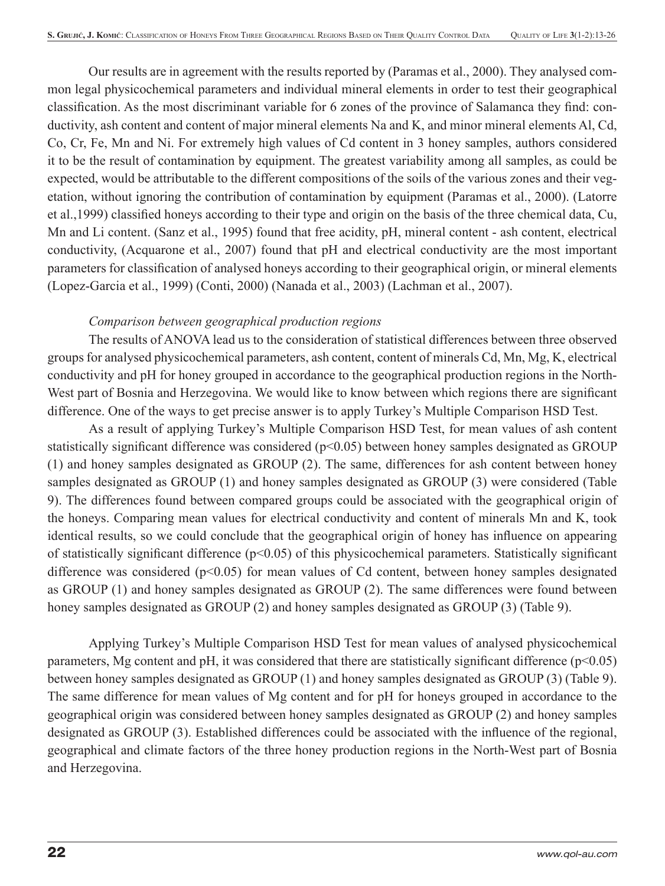Our results are in agreement with the results reported by (Paramas et al., 2000). They analysed common legal physicochemical parameters and individual mineral elements in order to test their geographical classification. As the most discriminant variable for 6 zones of the province of Salamanca they find: conductivity, ash content and content of major mineral elements Na and K, and minor mineral elements Al, Cd, Co, Cr, Fe, Mn and Ni. For extremely high values of Cd content in 3 honey samples, authors considered it to be the result of contamination by equipment. The greatest variability among all samples, as could be expected, would be attributable to the different compositions of the soils of the various zones and their vegetation, without ignoring the contribution of contamination by equipment (Paramas et al., 2000). (Latorre et al.,1999) classified honeys according to their type and origin on the basis of the three chemical data, Cu, Mn and Li content. (Sanz et al., 1995) found that free acidity, pH, mineral content - ash content, electrical conductivity, (Acquarone et al., 2007) found that pH and electrical conductivity are the most important parameters for classification of analysed honeys according to their geographical origin, or mineral elements (Lopez-Garcia et al., 1999) (Conti, 2000) (Nanada et al., 2003) (Lachman et al., 2007).

#### *Comparison between geographical production regions*

The results of ANOVA lead us to the consideration of statistical differences between three observed groups for analysed physicochemical parameters, ash content, content of minerals Cd, Mn, Mg, K, electrical conductivity and pH for honey grouped in accordance to the geographical production regions in the North-West part of Bosnia and Herzegovina. We would like to know between which regions there are significant difference. One of the ways to get precise answer is to apply Turkey's Multiple Comparison HSD Test.

As a result of applying Turkey's Multiple Comparison HSD Test, for mean values of ash content statistically significant difference was considered ( $p$ <0.05) between honey samples designated as GROUP (1) and honey samples designated as GROUP (2). The same, differences for ash content between honey samples designated as GROUP (1) and honey samples designated as GROUP (3) were considered (Table 9). The differences found between compared groups could be associated with the geographical origin of the honeys. Comparing mean values for electrical conductivity and content of minerals Mn and K, took identical results, so we could conclude that the geographical origin of honey has influence on appearing of statistically significant difference ( $p<0.05$ ) of this physicochemical parameters. Statistically significant difference was considered (p<0.05) for mean values of Cd content, between honey samples designated as GROUP (1) and honey samples designated as GROUP (2). The same differences were found between honey samples designated as GROUP (2) and honey samples designated as GROUP (3) (Table 9).

Applying Turkey's Multiple Comparison HSD Test for mean values of analysed physicochemical parameters, Mg content and pH, it was considered that there are statistically significant difference  $(p<0.05)$ between honey samples designated as GROUP (1) and honey samples designated as GROUP (3) (Table 9). The same difference for mean values of Mg content and for pH for honeys grouped in accordance to the geographical origin was considered between honey samples designated as GROUP (2) and honey samples designated as GROUP (3). Established differences could be associated with the influence of the regional, geographical and climate factors of the three honey production regions in the North-West part of Bosnia and Herzegovina.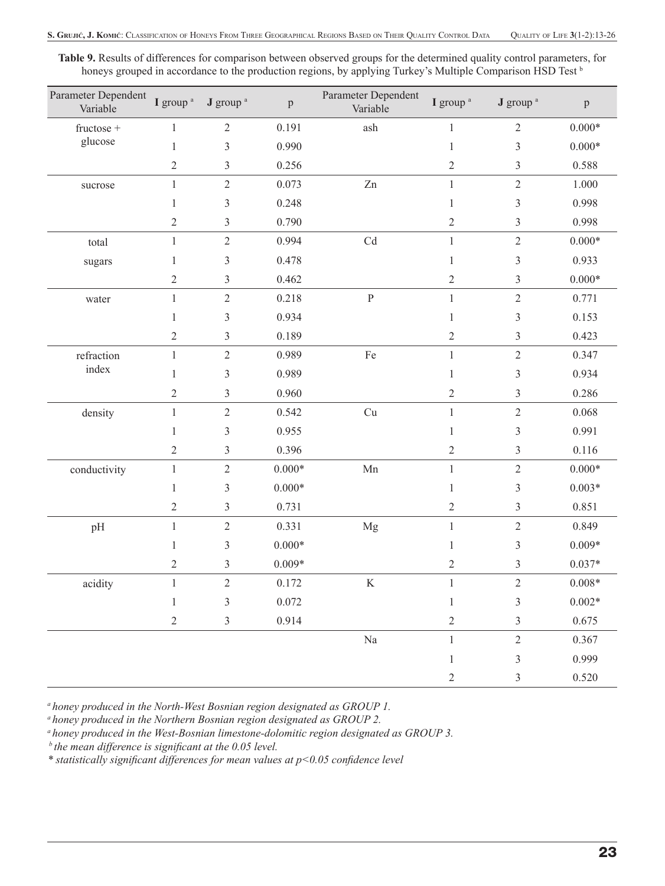**Table 9.** Results of differences for comparison between observed groups for the determined quality control parameters, for honeys grouped in accordance to the production regions, by applying Turkey's Multiple Comparison HSD Test b

| Parameter Dependent<br>Variable | I group <sup>a</sup> | J group <sup>a</sup>        | $\, {\bf p}$ | Parameter Dependent<br>Variable | I group <sup>a</sup> | J group <sup>a</sup> | $\, {\bf p}$ |
|---------------------------------|----------------------|-----------------------------|--------------|---------------------------------|----------------------|----------------------|--------------|
| $fructose +$                    | $\mathbf{1}$         | $\sqrt{2}$                  | 0.191        | ash                             | 1                    | $\sqrt{2}$           | $0.000*$     |
| glucose                         | $\,1$                | $\mathfrak{Z}$              | 0.990        |                                 | 1                    | $\mathfrak{Z}$       | $0.000*$     |
|                                 | $\mathfrak{2}$       | $\mathfrak{Z}$              | 0.256        |                                 | $\sqrt{2}$           | $\mathfrak{Z}$       | 0.588        |
| sucrose                         | $\,1$                | $\sqrt{2}$                  | 0.073        | Zn                              | $\mathbf{1}$         | $\sqrt{2}$           | 1.000        |
|                                 | 1                    | 3                           | 0.248        |                                 | 1                    | 3                    | 0.998        |
|                                 | $\sqrt{2}$           | $\mathfrak{Z}$              | 0.790        |                                 | $\overline{2}$       | 3                    | 0.998        |
| total                           | $\mathbf{1}$         | $\sqrt{2}$                  | 0.994        | $\ensuremath{\mathrm{Cd}}$      | $\mathbf{1}$         | $\sqrt{2}$           | $0.000*$     |
| sugars                          | $\mathbf{1}$         | $\mathfrak z$               | 0.478        |                                 | 1                    | $\mathfrak{Z}$       | 0.933        |
|                                 | $\sqrt{2}$           | $\ensuremath{\mathfrak{Z}}$ | 0.462        |                                 | $\sqrt{2}$           | $\mathfrak{Z}$       | $0.000*$     |
| water                           | $\,1$                | $\sqrt{2}$                  | 0.218        | $\, {\bf P}$                    | $\mathbf{1}$         | $\sqrt{2}$           | 0.771        |
|                                 | 1                    | $\mathfrak{Z}$              | 0.934        |                                 | 1                    | 3                    | 0.153        |
|                                 | $\overline{c}$       | $\mathfrak{Z}$              | 0.189        |                                 | $\mathbf{2}$         | 3                    | 0.423        |
| refraction                      | $\mathbf{1}$         | $\sqrt{2}$                  | 0.989        | Fe                              | $\mathbf{1}$         | $\sqrt{2}$           | 0.347        |
| index                           | $\mathbf{1}$         | $\mathfrak{Z}$              | 0.989        |                                 | 1                    | $\mathfrak{Z}$       | 0.934        |
|                                 | $\sqrt{2}$           | $\mathfrak{Z}$              | 0.960        |                                 | $\sqrt{2}$           | $\mathfrak{Z}$       | 0.286        |
| density                         | $\,1$                | $\sqrt{2}$                  | 0.542        | Cu                              | $\mathbf{1}$         | $\sqrt{2}$           | 0.068        |
|                                 | 1                    | $\mathfrak{Z}$              | 0.955        |                                 | 1                    | 3                    | 0.991        |
|                                 | $\mathfrak{2}$       | $\mathfrak{Z}$              | 0.396        |                                 | $\sqrt{2}$           | 3                    | 0.116        |
| conductivity                    | $\mathbf{1}$         | $\sqrt{2}$                  | $0.000*$     | Mn                              | $\mathbf{1}$         | $\sqrt{2}$           | $0.000*$     |
|                                 | $\mathbf{1}$         | $\mathfrak{Z}$              | $0.000*$     |                                 | 1                    | $\mathfrak{Z}$       | $0.003*$     |
|                                 | $\mathbf{2}$         | $\mathfrak z$               | 0.731        |                                 | $\mathbf{2}$         | 3                    | 0.851        |
| pH                              | $\,1\,$              | $\sqrt{2}$                  | 0.331        | Mg                              | $\mathbf{1}$         | $\sqrt{2}$           | 0.849        |
|                                 | 1                    | $\mathfrak{Z}$              | $0.000*$     |                                 | 1                    | 3                    | $0.009*$     |
|                                 | $\overline{c}$       | 3                           | $0.009*$     |                                 | $\overline{c}$       | 3                    | $0.037*$     |
| $\,$ acidity                    | $\mathbf{1}$         | $\mathfrak{2}$              | 0.172        | $\rm K$                         | $\mathbf{1}$         | $\sqrt{2}$           | $0.008*$     |
|                                 | $\,1$                | $\mathfrak{Z}$              | 0.072        |                                 | $\,1\,$              | $\mathfrak{Z}$       | $0.002*$     |
|                                 | $\sqrt{2}$           | $\mathfrak{Z}$              | 0.914        |                                 | $\sqrt{2}$           | $\mathfrak{Z}$       | 0.675        |
|                                 |                      |                             |              | $\rm Na$                        | $\mathbf{1}$         | $\sqrt{2}$           | 0.367        |
|                                 |                      |                             |              |                                 | $\mathbf{1}$         | $\mathfrak{Z}$       | 0.999        |
|                                 |                      |                             |              |                                 | $\mathbf{2}$         | 3                    | 0.520        |

*a honey produced in the North-West Bosnian region designated as GROUP 1.* 

*a honey produced in the Northern Bosnian region designated as GROUP 2.*

*a honey produced in the West-Bosnian limestone-dolomitic region designated as GROUP 3.*

*b* the mean difference is significant at the 0.05 level.

*\* statistically signifi cant differences for mean values at p<0.05 confi dence level*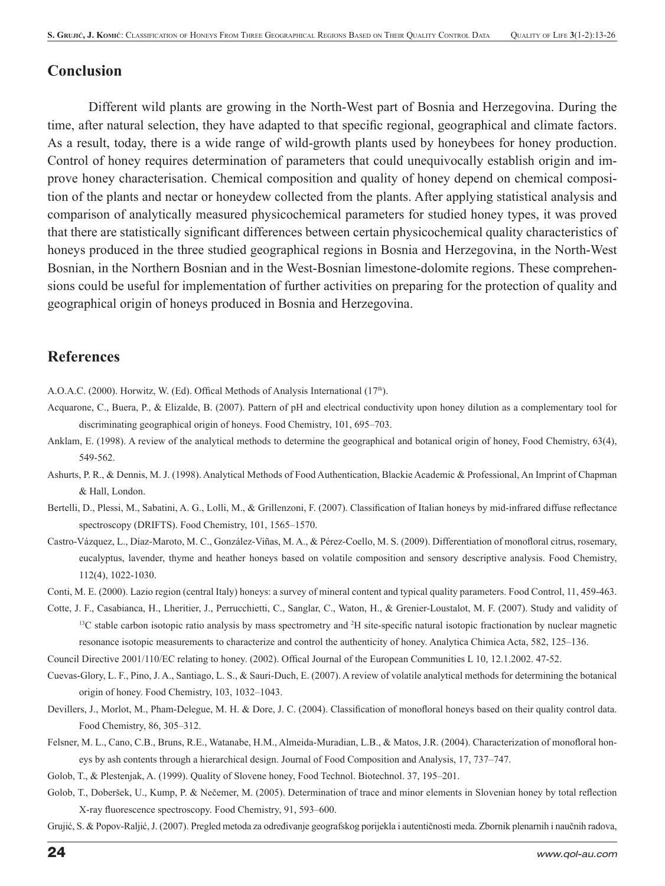#### **Conclusion**

Different wild plants are growing in the North-West part of Bosnia and Herzegovina. During the time, after natural selection, they have adapted to that specific regional, geographical and climate factors. As a result, today, there is a wide range of wild-growth plants used by honeybees for honey production. Control of honey requires determination of parameters that could unequivocally establish origin and improve honey characterisation. Chemical composition and quality of honey depend on chemical composition of the plants and nectar or honeydew collected from the plants. After applying statistical analysis and comparison of analytically measured physicochemical parameters for studied honey types, it was proved that there are statistically significant differences between certain physicochemical quality characteristics of honeys produced in the three studied geographical regions in Bosnia and Herzegovina, in the North-West Bosnian, in the Northern Bosnian and in the West-Bosnian limestone-dolomite regions. These comprehensions could be useful for implementation of further activities on preparing for the protection of quality and geographical origin of honeys produced in Bosnia and Herzegovina.

#### **References**

A.O.A.C. (2000). Horwitz, W. (Ed). Offical Methods of Analysis International (17<sup>th</sup>).

- Acquarone, C., Buera, P., & Elizalde, B. (2007). Pattern of pH and electrical conductivity upon honey dilution as a complementary tool for discriminating geographical origin of honeys. Food Chemistry, 101, 695–703.
- Anklam, E. (1998). A review of the analytical methods to determine the geographical and botanical origin of honey, Food Chemistry, 63(4), 549-562.
- Ashurts, P. R., & Dennis, M. J. (1998). Analytical Methods of Food Authentication, Blackie Academic & Professional, An Imprint of Chapman & Hall, London.
- Bertelli, D., Plessi, M., Sabatini, A. G., Lolli, M., & Grillenzoni, F. (2007). Classification of Italian honeys by mid-infrared diffuse reflectance spectroscopy (DRIFTS). Food Chemistry, 101, 1565–1570.
- Castro-Vázquez, L., Díaz-Maroto, M. C., González-Viñas, M. A., & Pérez-Coello, M. S. (2009). Differentiation of monofloral citrus, rosemary, eucalyptus, lavender, thyme and heather honeys based on volatile composition and sensory descriptive analysis. Food Chemistry, 112(4), 1022-1030.
- Conti, M. E. (2000). Lazio region (central Italy) honeys: a survey of mineral content and typical quality parameters. Food Control, 11, 459-463.
- Cotte, J. F., Casabianca, H., Lheritier, J., Perrucchietti, C., Sanglar, C., Waton, H., & Grenier-Loustalot, M. F. (2007). Study and validity of  $<sup>13</sup>C$  stable carbon isotopic ratio analysis by mass spectrometry and  $<sup>2</sup>H$  site-specific natural isotopic fractionation by nuclear magnetic</sup></sup> resonance isotopic measurements to characterize and control the authenticity of honey. Analytica Chimica Acta, 582, 125–136.
- Council Directive 2001/110/EC relating to honey. (2002). Offical Journal of the European Communities L 10, 12.1.2002. 47-52.
- Cuevas-Glory, L. F., Pino, J. A., Santiago, L. S., & Sauri-Duch, E. (2007). A review of volatile analytical methods for determining the botanical origin of honey. Food Chemistry, 103, 1032–1043.
- Devillers, J., Morlot, M., Pham-Delegue, M. H. & Dore, J. C. (2004). Classification of monofloral honeys based on their quality control data. Food Chemistry, 86, 305–312.
- Felsner, M. L., Cano, C.B., Bruns, R.E., Watanabe, H.M., Almeida-Muradian, L.B., & Matos, J.R. (2004). Characterization of monofloral honeys by ash contents through a hierarchical design. Journal of Food Composition and Analysis, 17, 737–747.
- Golob, T., & Plestenjak, A. (1999). Quality of Slovene honey, Food Technol. Biotechnol. 37, 195–201.
- Golob, T., Doberšek, U., Kump, P. & Nečemer, M. (2005). Determination of trace and minor elements in Slovenian honey by total reflection X-ray fluorescence spectroscopy. Food Chemistry, 91, 593-600.

Grujić, S. & Popov-Raljić, J. (2007). Pregled metoda za određivanje geografskog porijekla i autentičnosti meda. Zbornik plenarnih i naučnih radova,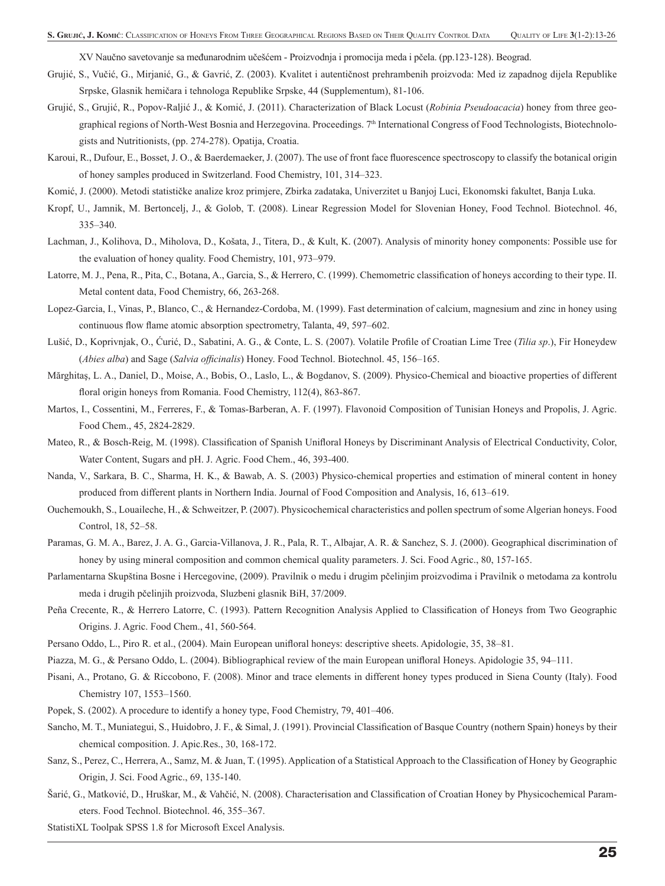XV Naučno savetovanje sa međunarodnim učešćem - Proizvodnja i promocija meda i pčela. (pp.123-128). Beograd.

- Grujić, S., Vučić, G., Mirjanić, G., & Gavrić, Z. (2003). Kvalitet i autentičnost prehrambenih proizvoda: Med iz zapadnog dijela Republike Srpske, Glasnik hemičara i tehnologa Republike Srpske, 44 (Supplementum), 81-106.
- Grujić, S., Grujić, R., Popov-Raljić J., & Komić, J. (2011). Characterization of Black Locust (*Robinia Pseudoacacia*) honey from three geographical regions of North-West Bosnia and Herzegovina. Proceedings. 7<sup>th</sup> International Congress of Food Technologists, Biotechnologists and Nutritionists, (pp. 274-278). Opatija, Croatia.
- Karoui, R., Dufour, E., Bosset, J. O., & Baerdemaeker, J. (2007). The use of front face fluorescence spectroscopy to classify the botanical origin of honey samples produced in Switzerland. Food Chemistry, 101, 314–323.
- Komić, J. (2000). Metodi statističke analize kroz primjere, Zbirka zadataka, Univerzitet u Banjoj Luci, Ekonomski fakultet, Banja Luka.
- Kropf, U., Jamnik, M. Bertoncelj, J., & Golob, T. (2008). Linear Regression Model for Slovenian Honey, Food Technol. Biotechnol. 46, 335–340.
- Lachman, J., Kolihova, D., Miholova, D., Košata, J., Titera, D., & Kult, K. (2007). Analysis of minority honey components: Possible use for the evaluation of honey quality. Food Chemistry, 101, 973–979.
- Latorre, M. J., Pena, R., Pita, C., Botana, A., Garcia, S., & Herrero, C. (1999). Chemometric classification of honeys according to their type. II. Metal content data, Food Chemistry, 66, 263-268.
- Lopez-Garcia, I., Vinas, P., Blanco, C., & Hernandez-Cordoba, M. (1999). Fast determination of calcium, magnesium and zinc in honey using continuous flow flame atomic absorption spectrometry, Talanta, 49, 597-602.
- Lušić, D., Koprivnjak, O., Ćurić, D., Sabatini, A. G., & Conte, L. S. (2007). Volatile Profile of Croatian Lime Tree (*Tilia sp.*), Fir Honeydew (*Abies alba*) and Sage (*Salvia officinalis*) Honey. Food Technol. Biotechnol. 45, 156–165.
- Mărghitaş, L. A., Daniel, D., Moise, A., Bobis, O., Laslo, L., & Bogdanov, S. (2009). Physico-Chemical and bioactive properties of different floral origin honeys from Romania. Food Chemistry, 112(4), 863-867.
- Martos, I., Cossentini, M., Ferreres, F., & Tomas-Barberan, A. F. (1997). Flavonoid Composition of Tunisian Honeys and Propolis, J. Agric. Food Chem., 45, 2824-2829.
- Mateo, R., & Bosch-Reig, M. (1998). Classification of Spanish Unifloral Honeys by Discriminant Analysis of Electrical Conductivity, Color, Water Content, Sugars and pH. J. Agric. Food Chem., 46, 393-400.
- Nanda, V., Sarkara, B. C., Sharma, H. K., & Bawab, A. S. (2003) Physico-chemical properties and estimation of mineral content in honey produced from different plants in Northern India. Journal of Food Composition and Analysis, 16, 613–619.
- Ouchemoukh, S., Louaileche, H., & Schweitzer, P. (2007). Physicochemical characteristics and pollen spectrum of some Algerian honeys. Food Control, 18, 52–58.
- Paramas, G. M. A., Barez, J. A. G., Garcia-Villanova, J. R., Pala, R. T., Albajar, A. R. & Sanchez, S. J. (2000). Geographical discrimination of honey by using mineral composition and common chemical quality parameters. J. Sci. Food Agric., 80, 157-165.
- Parlamentarna Skupština Bosne i Hercegovine, (2009). Pravilnik o medu i drugim pčelinjim proizvodima i Pravilnik o metodama za kontrolu meda i drugih pčelinjih proizvoda, Sluzbeni glasnik BiH, 37/2009.
- Peña Crecente, R., & Herrero Latorre, C. (1993). Pattern Recognition Analysis Applied to Classification of Honeys from Two Geographic Origins. J. Agric. Food Chem., 41, 560-564.
- Persano Oddo, L., Piro R. et al., (2004). Main European unifloral honeys: descriptive sheets. Apidologie, 35, 38–81.
- Piazza, M. G., & Persano Oddo, L. (2004). Bibliographical review of the main European unifloral Honeys. Apidologie 35, 94–111.
- Pisani, A., Protano, G. & Riccobono, F. (2008). Minor and trace elements in different honey types produced in Siena County (Italy). Food Chemistry 107, 1553–1560.
- Popek, S. (2002). A procedure to identify a honey type, Food Chemistry, 79, 401–406.
- Sancho, M. T., Muniategui, S., Huidobro, J. F., & Simal, J. (1991). Provincial Classification of Basque Country (nothern Spain) honeys by their chemical composition. J. Apic.Res., 30, 168-172.
- Sanz, S., Perez, C., Herrera, A., Samz, M. & Juan, T. (1995). Application of a Statistical Approach to the Classification of Honey by Geographic Origin, J. Sci. Food Agric., 69, 135-140.
- Šarić, G., Matković, D., Hruškar, M., & Vahčić, N. (2008). Characterisation and Classification of Croatian Honey by Physicochemical Parameters. Food Technol. Biotechnol. 46, 355–367.
- StatistiXL Toolpak SPSS 1.8 for Microsoft Excel Analysis.